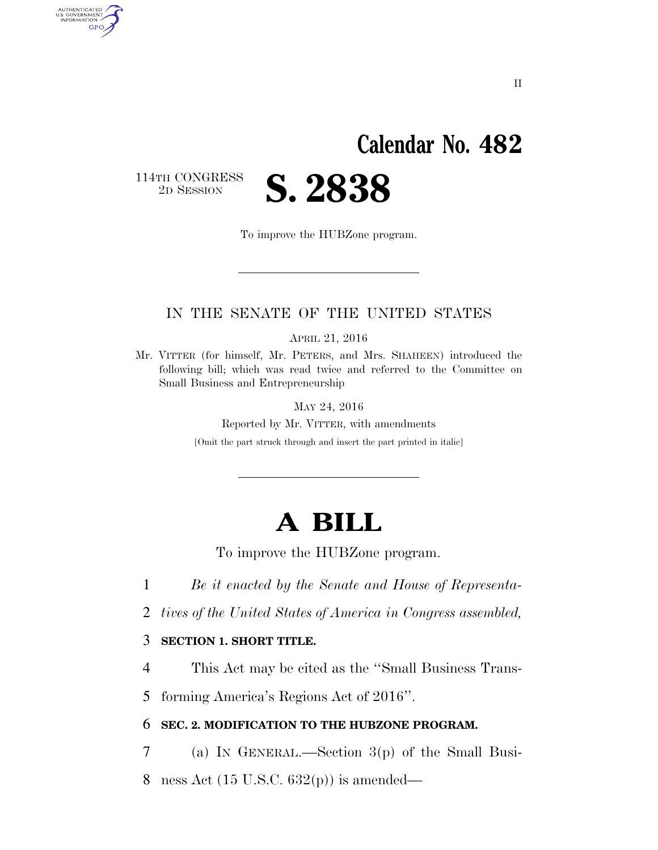## **Calendar No. 482**

114TH CONGRESS<br>2D SESSION

AUTHENTICATED<br>U.S. GOVERNMENT<br>INFORMATION GPO

2D SESSION **S. 2838** 

To improve the HUBZone program.

### IN THE SENATE OF THE UNITED STATES

APRIL 21, 2016

Mr. VITTER (for himself, Mr. PETERS, and Mrs. SHAHEEN) introduced the following bill; which was read twice and referred to the Committee on Small Business and Entrepreneurship

MAY 24, 2016

Reported by Mr. VITTER, with amendments [Omit the part struck through and insert the part printed in italic]

## **A BILL**

To improve the HUBZone program.

1 *Be it enacted by the Senate and House of Representa-*

2 *tives of the United States of America in Congress assembled,* 

#### 3 **SECTION 1. SHORT TITLE.**

4 This Act may be cited as the ''Small Business Trans-

5 forming America's Regions Act of 2016''.

#### 6 **SEC. 2. MODIFICATION TO THE HUBZONE PROGRAM.**

7 (a) IN GENERAL.—Section 3(p) of the Small Busi-

8 ness Act (15 U.S.C. 632(p)) is amended—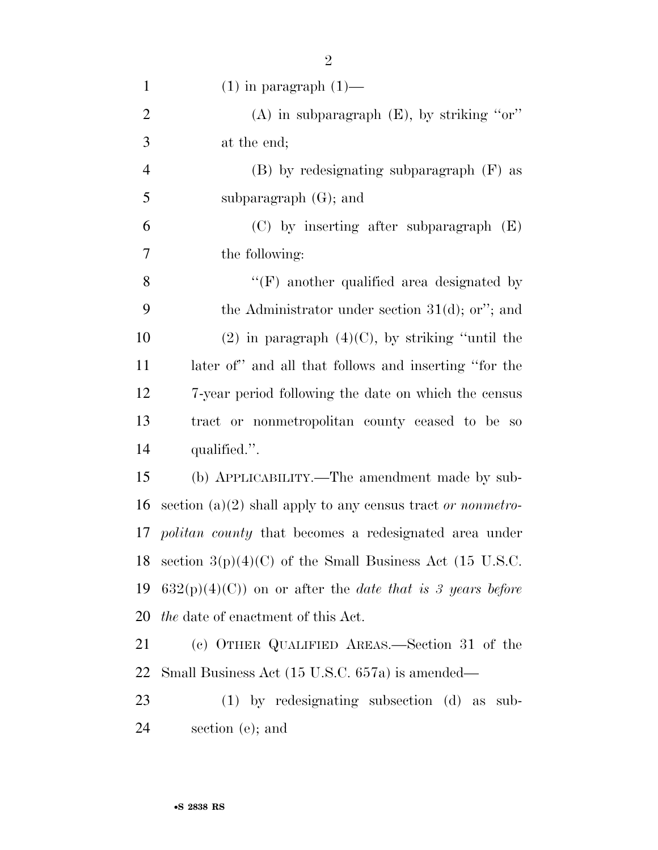| $\mathbf{1}$   | $(1)$ in paragraph $(1)$ —                                        |
|----------------|-------------------------------------------------------------------|
| $\overline{2}$ | (A) in subparagraph $(E)$ , by striking "or"                      |
| 3              | at the end;                                                       |
| $\overline{4}$ | (B) by redesignating subparagraph (F) as                          |
| 5              | subparagraph $(G)$ ; and                                          |
| 6              | $(C)$ by inserting after subparagraph $(E)$                       |
| 7              | the following:                                                    |
| 8              | $\lq\lq(F)$ another qualified area designated by                  |
| 9              | the Administrator under section $31(d)$ ; or"; and                |
| 10             | $(2)$ in paragraph $(4)(C)$ , by striking "until the              |
| 11             | later of" and all that follows and inserting "for the             |
| 12             | 7-year period following the date on which the census              |
| 13             | tract or nonmetropolitan county ceased to be so                   |
| 14             | qualified.".                                                      |
| 15             | (b) APPLICABILITY.—The amendment made by sub-                     |
| 16             | section (a)(2) shall apply to any census tract or nonmetro-       |
| 17             | <i>politan county</i> that becomes a redesignated area under      |
| 18             | section $3(p)(4)(C)$ of the Small Business Act (15 U.S.C.         |
| 19             | $632(p)(4)(C)$ on or after the <i>date that is 3 years before</i> |
| 20             | <i>the</i> date of enactment of this Act.                         |
| 21             | (c) OTHER QUALIFIED AREAS.—Section 31 of the                      |
| 22             | Small Business Act (15 U.S.C. 657a) is amended—                   |
| 23             | $(1)$ by redesignating subsection $(d)$ as sub-                   |
| 24             | section (e); and                                                  |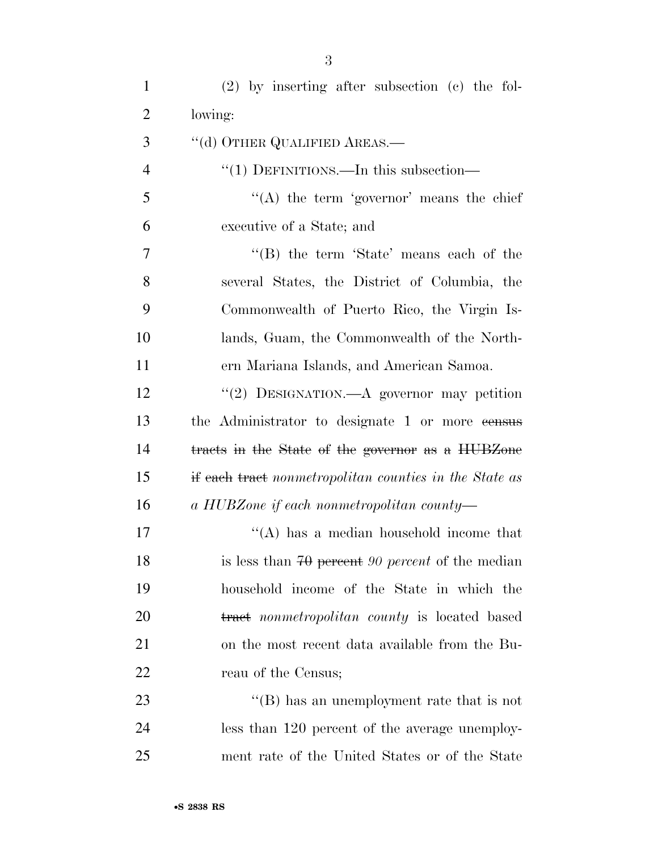| $\mathbf{1}$   | $(2)$ by inserting after subsection $(e)$ the fol-     |
|----------------|--------------------------------------------------------|
| $\overline{2}$ | lowing:                                                |
| 3              | "(d) OTHER QUALIFIED AREAS.—                           |
| $\overline{4}$ | "(1) DEFINITIONS.—In this subsection—                  |
| 5              | "(A) the term 'governor' means the chief               |
| 6              | executive of a State; and                              |
| 7              | "(B) the term 'State' means each of the                |
| 8              | several States, the District of Columbia, the          |
| 9              | Commonwealth of Puerto Rico, the Virgin Is-            |
| 10             | lands, Guam, the Commonwealth of the North-            |
| 11             | ern Mariana Islands, and American Samoa.               |
| 12             | "(2) DESIGNATION.—A governor may petition              |
| 13             | the Administrator to designate 1 or more consus        |
| 14             | tracts in the State of the governor as a HUBZone       |
| 15             | if each tract nonmetropolitan counties in the State as |
| 16             | a HUBZone if each nonmetropolitan county—              |
| 17             | "(A) has a median household income that                |
| 18             | is less than $70$ percent 90 percent of the median     |
| 19             | household income of the State in which the             |
| 20             | tract nonmetropolitan county is located based          |
| 21             | on the most recent data available from the Bu-         |
| 22             | reau of the Census;                                    |
| 23             | $\lq\lq (B)$ has an unemployment rate that is not      |
| 24             | less than 120 percent of the average unemploy-         |
| 25             | ment rate of the United States or of the State         |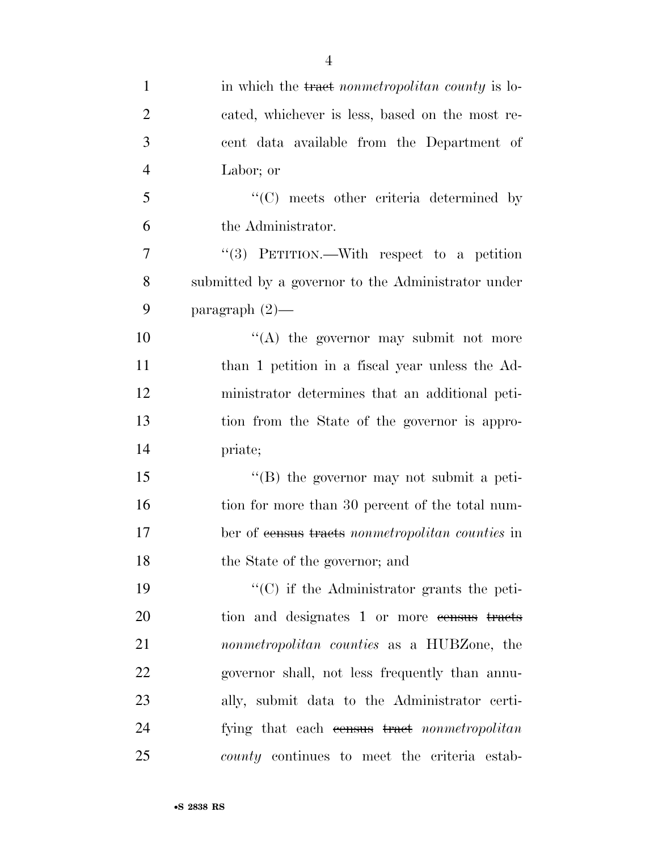| $\mathbf{1}$   | in which the tract nonmetropolitan county is lo-            |
|----------------|-------------------------------------------------------------|
| $\overline{2}$ | cated, whichever is less, based on the most re-             |
| 3              | cent data available from the Department of                  |
| $\overline{4}$ | Labor; or                                                   |
| 5              | $\lq\lq$ meets other criteria determined by                 |
| 6              | the Administrator.                                          |
| $\overline{7}$ | "(3) PETITION.—With respect to a petition                   |
| 8              | submitted by a governor to the Administrator under          |
| 9              | paragraph $(2)$ —                                           |
| 10             | "(A) the governor may submit not more                       |
| 11             | than 1 petition in a fiscal year unless the Ad-             |
| 12             | ministrator determines that an additional peti-             |
| 13             | tion from the State of the governor is appro-               |
| 14             | priate;                                                     |
| 15             | "(B) the governor may not submit a peti-                    |
| 16             | tion for more than 30 percent of the total num-             |
| 17             | ber of <del>census tracts</del> nonmetropolitan counties in |
| 18             | the State of the governor; and                              |
| 19             | $\cdot$ (C) if the Administrator grants the peti-           |
| 20             | tion and designates 1 or more consus tracts                 |
| 21             | nonmetropolitan counties as a HUBZone, the                  |
| 22             | governor shall, not less frequently than annu-              |
| 23             | ally, submit data to the Administrator certi-               |
| 24             | fying that each consus tract nonmetropolitan                |
| 25             | county continues to meet the criteria estab-                |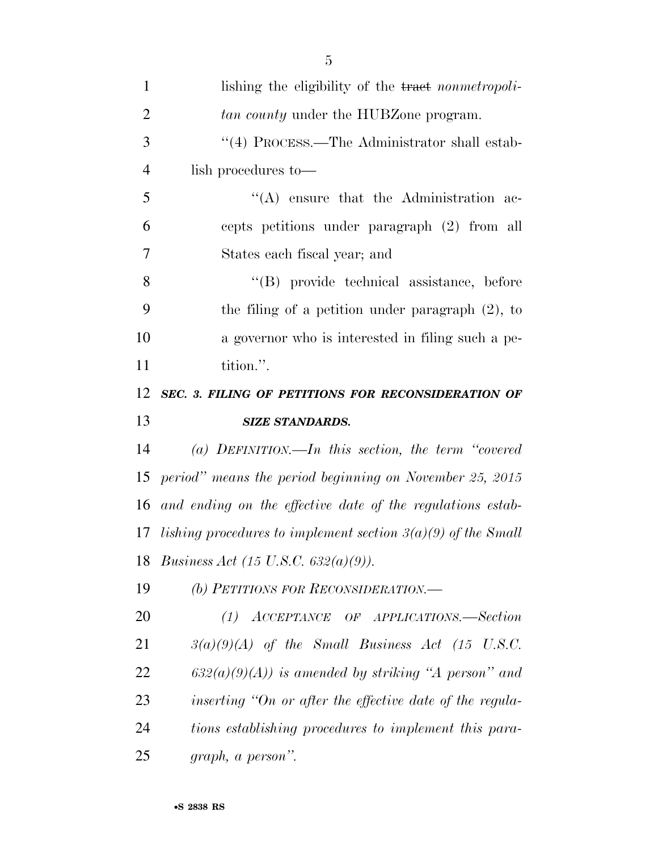| $\mathbf{1}$   | lishing the eligibility of the tract nonmetropoli-             |
|----------------|----------------------------------------------------------------|
| $\overline{2}$ | <i>tan county</i> under the HUBZone program.                   |
| 3              | "(4) PROCESS.—The Administrator shall estab-                   |
| $\overline{4}$ | lish procedures to—                                            |
| 5              | $\lq\lq$ ensure that the Administration ac-                    |
| 6              | cepts petitions under paragraph (2) from all                   |
| 7              | States each fiscal year; and                                   |
| 8              | "(B) provide technical assistance, before                      |
| 9              | the filing of a petition under paragraph $(2)$ , to            |
| 10             | a governor who is interested in filing such a pe-              |
| 11             | tition.".                                                      |
| 12             | SEC. 3. FILING OF PETITIONS FOR RECONSIDERATION OF             |
| 13             | <b>SIZE STANDARDS.</b>                                         |
| 14             | (a) DEFINITION.—In this section, the term "covered             |
|                |                                                                |
|                | period" means the period beginning on November 25, 2015        |
| 15<br>16       | and ending on the effective date of the regulations estab-     |
| 17             | lishing procedures to implement section $3(a)(9)$ of the Small |
|                | 18 Business Act (15 U.S.C. 632(a)(9)).                         |
| 19             | (b) PETITIONS FOR RECONSIDERATION.—                            |
| 20             | ACCEPTANCE OF APPLICATIONS.-Section<br>(1)                     |
| 21             | $3(a)(9)(A)$ of the Small Business Act (15 U.S.C.              |
| 22             | $632(a)(9)(A)$ is amended by striking "A person" and           |
| 23             | inserting "On or after the effective date of the regula-       |
| 24             | tions establishing procedures to implement this para-          |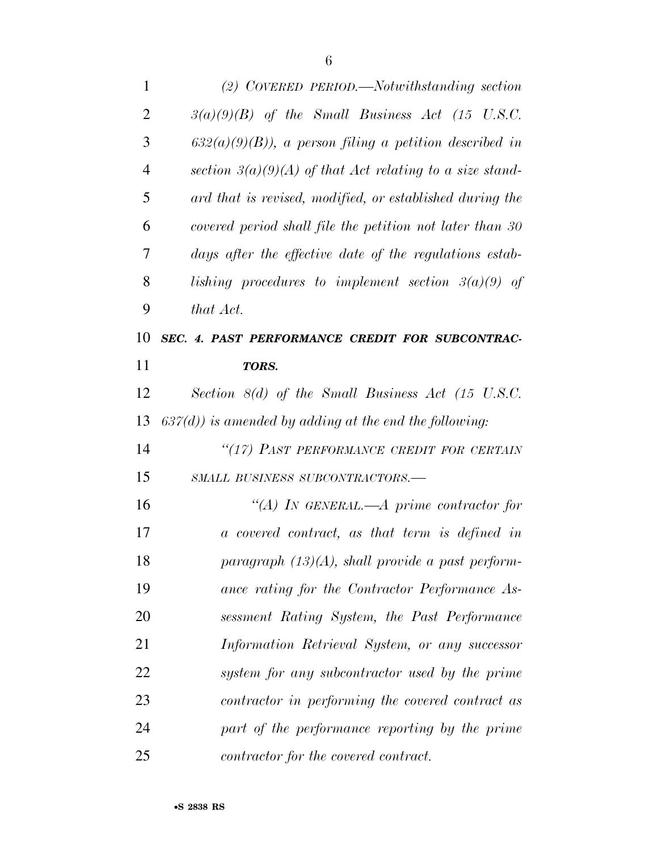| 1              | (2) COVERED PERIOD.—Notwithstanding section                |
|----------------|------------------------------------------------------------|
| $\overline{2}$ | $3(a)(9)(B)$ of the Small Business Act (15 U.S.C.          |
| 3              | $632(a)(9)(B)$ , a person filing a petition described in   |
| $\overline{4}$ | section $3(a)(9)(A)$ of that Act relating to a size stand- |
| 5              | ard that is revised, modified, or established during the   |
| 6              | covered period shall file the petition not later than 30   |
| 7              | days after the effective date of the regulations estab-    |
| 8              | lishing procedures to implement section $3(a)(9)$ of       |
| 9              | that Act.                                                  |
| 10             | SEC. 4. PAST PERFORMANCE CREDIT FOR SUBCONTRAC-            |
| 11             | TORS.                                                      |
| 12             | Section $8(d)$ of the Small Business Act (15 U.S.C.        |
| 13             | $637(d)$ ) is amended by adding at the end the following:  |
| 14             | "(17) PAST PERFORMANCE CREDIT FOR CERTAIN                  |
| 15             | SMALL BUSINESS SUBCONTRACTORS.-                            |
| 16             | "(A) IN GENERAL.—A prime contractor for                    |
| 17             | a covered contract, as that term is defined in             |
| 18             | paragraph $(13)(A)$ , shall provide a past perform-        |
| 19             | ance rating for the Contractor Performance As-             |
| 20             | sessment Rating System, the Past Performance               |
| 21             | Information Retrieval System, or any successor             |
| 22             | system for any subcontractor used by the prime             |
| 23             | contractor in performing the covered contract as           |
| 24             | part of the performance reporting by the prime             |
| 25             | contractor for the covered contract.                       |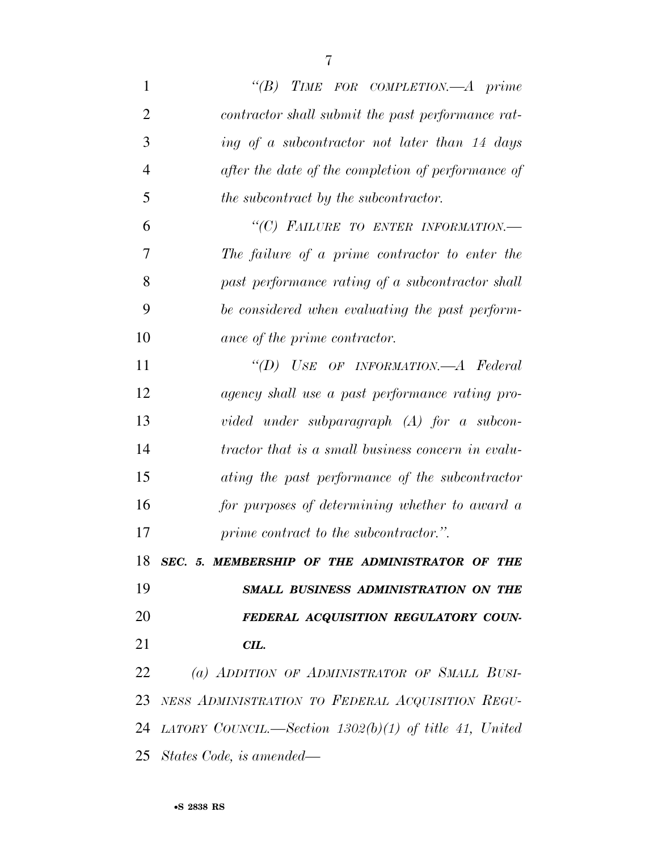| $\mathbf{1}$   | TIME FOR COMPLETION.-A prime<br>$\lq(B)$                 |
|----------------|----------------------------------------------------------|
| $\overline{2}$ | contractor shall submit the past performance rat-        |
| 3              | ing of a subcontractor not later than 14 days            |
| $\overline{4}$ | after the date of the completion of performance of       |
| 5              | the subcontract by the subcontractor.                    |
| 6              | "(C) FAILURE TO ENTER INFORMATION.-                      |
| 7              | The failure of a prime contractor to enter the           |
| 8              | past performance rating of a subcontractor shall         |
| 9              | be considered when evaluating the past perform-          |
| 10             | ance of the prime contractor.                            |
| 11             | "(D) USE OF INFORMATION.—A Federal                       |
| 12             | agency shall use a past performance rating pro-          |
| 13             | vided under subparagraph $(A)$ for a subcon-             |
| 14             | tractor that is a small business concern in evalu-       |
| 15             | ating the past performance of the subcontractor          |
| 16             | for purposes of determining whether to award a           |
| 17             | prime contract to the subcontractor.".                   |
|                | 18 SEC. 5. MEMBERSHIP OF THE ADMINISTRATOR OF THE        |
| 19             | SMALL BUSINESS ADMINISTRATION ON THE                     |
| 20             | FEDERAL ACQUISITION REGULATORY COUN-                     |
| 21             | CIL.                                                     |
| 22             | (a) ADDITION OF ADMINISTRATOR OF SMALL BUSI-             |
| 23             | NESS ADMINISTRATION TO FEDERAL ACQUISITION REGU-         |
| 24             | LATORY COUNCIL.—Section $1302(b)(1)$ of title 41, United |
| 25             | States Code, is amended—                                 |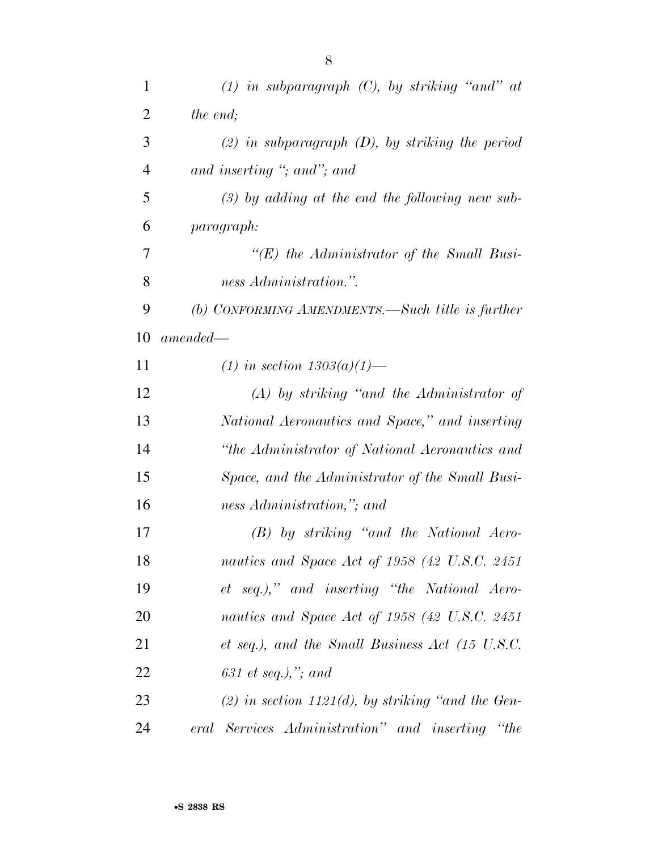| $\mathbf{1}$   | $(1)$ in subparagraph $(C)$ , by striking "and" at   |
|----------------|------------------------------------------------------|
| 2              | the end;                                             |
| 3              | $(2)$ in subparagraph $(D)$ , by striking the period |
| $\overline{4}$ | and inserting "; and"; and                           |
| 5              | $(3)$ by adding at the end the following new sub-    |
| 6              | <i>paragraph:</i>                                    |
| 7              | $\lq\lq (E)$ the Administrator of the Small Busi-    |
| 8              | ness Administration.".                               |
| 9              | (b) CONFORMING AMENDMENTS.—Such title is further     |
| 10             | $amended-$                                           |
| 11             | (1) in section $1303(a)(1)$ —                        |
| 12             | $(A)$ by striking "and the Administrator of          |
| 13             | National Aeronautics and Space," and inserting       |
| 14             | "the Administrator of National Aeronautics and       |
| 15             | Space, and the Administrator of the Small Busi-      |
| 16             | ness Administration,"; and                           |
| 17             | $(B)$ by striking "and the National Aero-            |
| 18             | nautics and Space Act of 1958 (42 U.S.C. 2451)       |
| 19             | et seq.)," and inserting "the National Aero-         |
| 20             | nautics and Space Act of 1958 (42 U.S.C. 2451        |
| 21             | et seq.), and the Small Business Act (15 U.S.C.      |
| 22             | 631 et seq.),"; and                                  |
| 23             | $(2)$ in section 1121(d), by striking "and the Gen-  |
| 24             | eral Services Administration" and inserting "the     |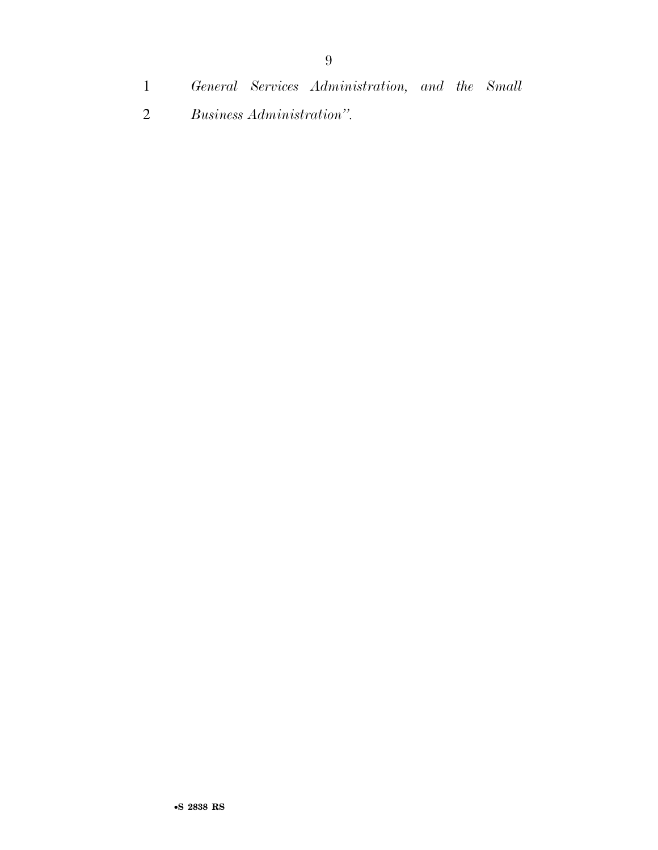*General Services Administration, and the Small Business Administration''.*